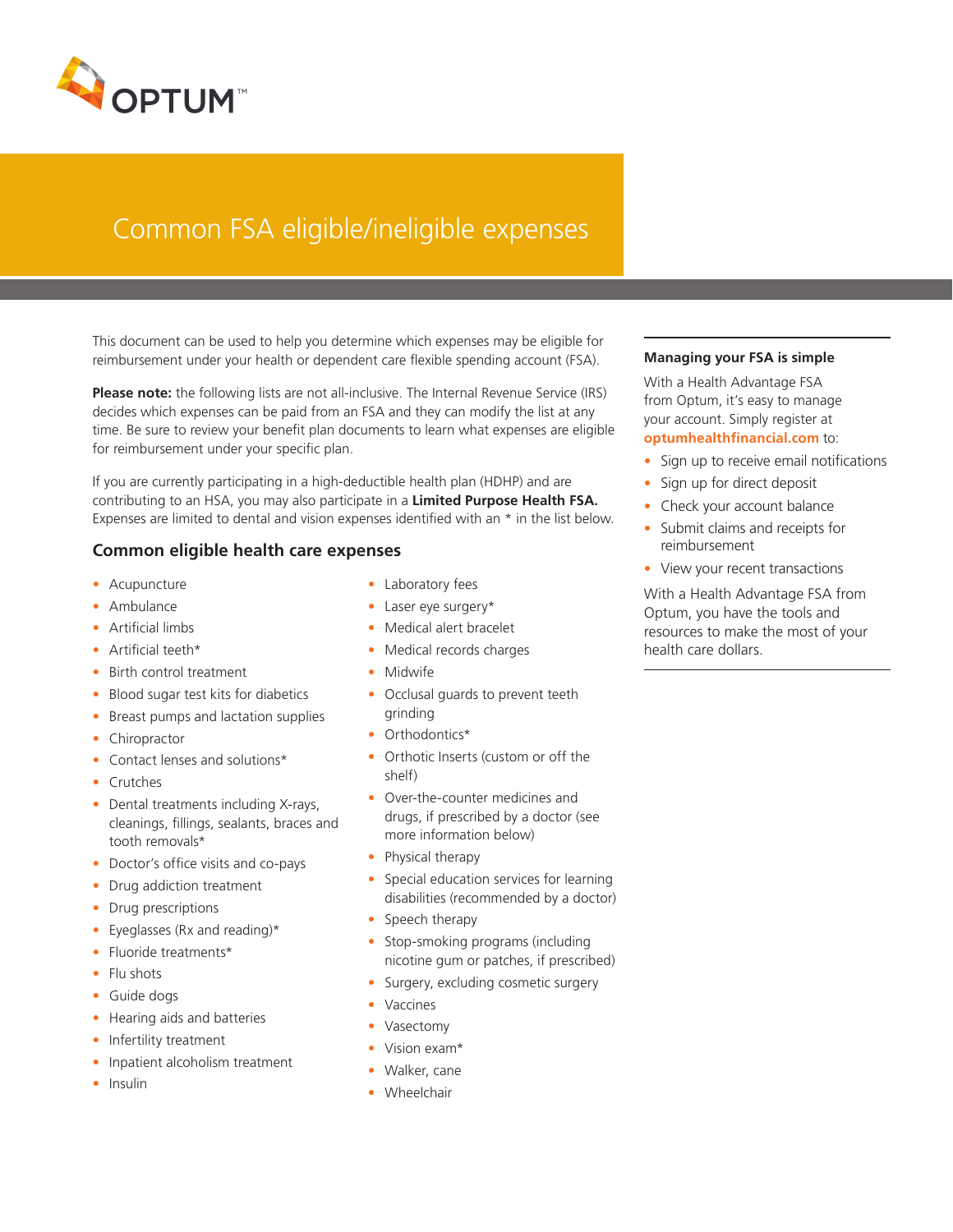

# Common FSA eligible/ineligible expenses

This document can be used to help you determine which expenses may be eligible for reimbursement under your health or dependent care flexible spending account (FSA).

**Please note:** the following lists are not all-inclusive. The Internal Revenue Service (IRS) decides which expenses can be paid from an FSA and they can modify the list at any time. Be sure to review your benefit plan documents to learn what expenses are eligible for reimbursement under your specific plan.

If you are currently participating in a high-deductible health plan (HDHP) and are contributing to an HSA, you may also participate in a **Limited Purpose Health FSA.**  Expenses are limited to dental and vision expenses identified with an \* in the list below.

## **Common eligible health care expenses**

- Acupuncture
- Ambulance
- Artificial limbs
- Artificial teeth\*
- Birth control treatment
- Blood sugar test kits for diabetics
- Breast pumps and lactation supplies
- Chiropractor
- Contact lenses and solutions\*
- Crutches
- Dental treatments including X-rays, cleanings, fillings, sealants, braces and tooth removals\*
- Doctor's office visits and co-pays
- Drug addiction treatment
- Drug prescriptions
- Eyeglasses (Rx and reading)\*
- Fluoride treatments\*
- Flu shots
- Guide dogs
- Hearing aids and batteries
- Infertility treatment
- Inpatient alcoholism treatment
- Insulin
- Laboratory fees
- Laser eye surgery\*
- Medical alert bracelet
- Medical records charges
- Midwife
- Occlusal guards to prevent teeth grinding
- Orthodontics\*
- Orthotic Inserts (custom or off the shelf)
- Over-the-counter medicines and drugs, if prescribed by a doctor (see more information below)
- Physical therapy
- Special education services for learning disabilities (recommended by a doctor)
- Speech therapy
- Stop-smoking programs (including nicotine gum or patches, if prescribed)
- Surgery, excluding cosmetic surgery
- Vaccines
- Vasectomy
- Vision exam\*
- Walker, cane
- Wheelchair

#### **Managing your FSA is simple**

With a Health Advantage FSA from Optum, it's easy to manage your account. Simply register at **optumhealthfinancial.com** to:

- Sign up to receive email notifications
- Sign up for direct deposit
- Check your account balance
- Submit claims and receipts for reimbursement
- View your recent transactions

With a Health Advantage FSA from Optum, you have the tools and resources to make the most of your health care dollars.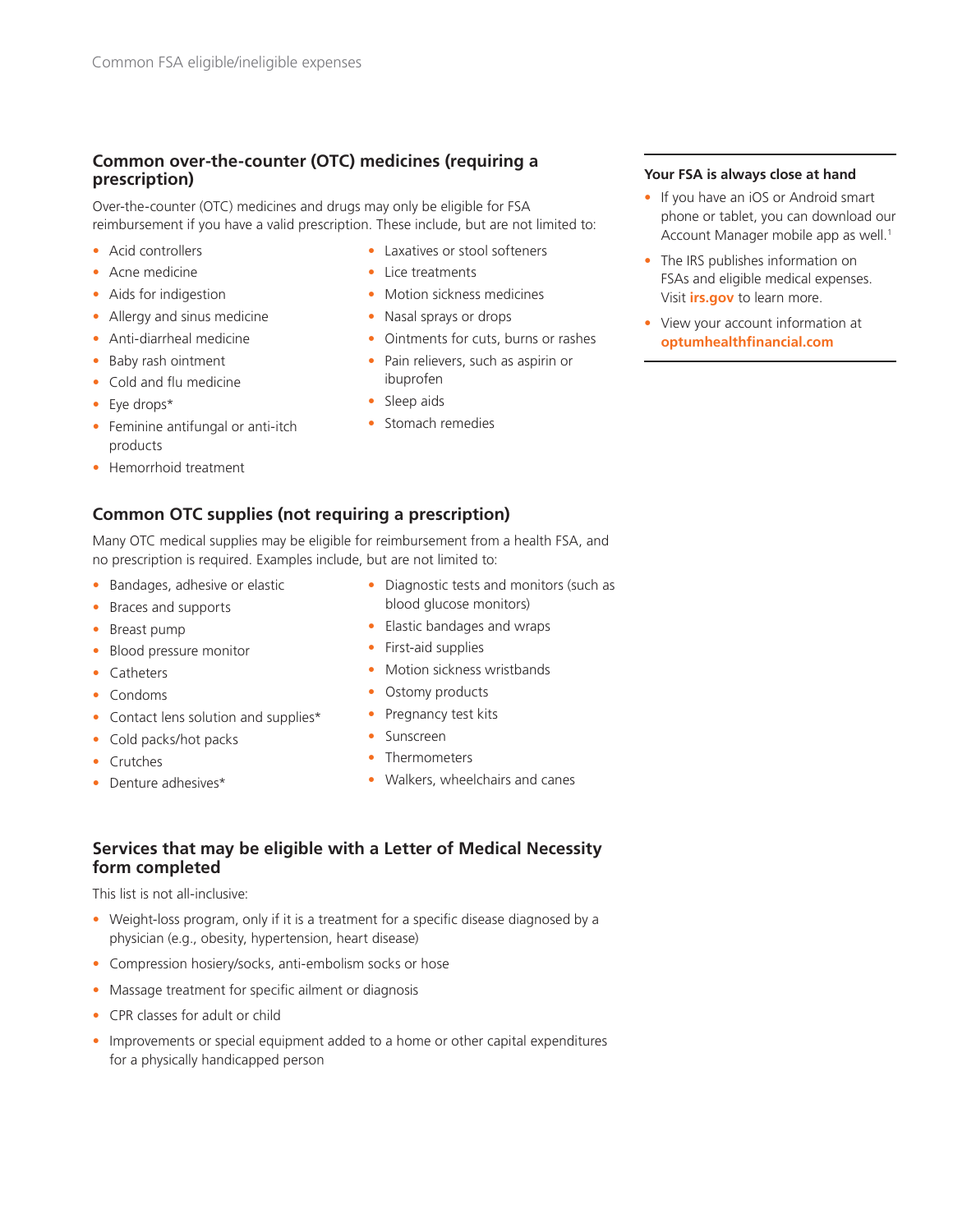# **Common over-the-counter (OTC) medicines (requiring a prescription)**

Over-the-counter (OTC) medicines and drugs may only be eligible for FSA reimbursement if you have a valid prescription. These include, but are not limited to:

- Acid controllers
- Acne medicine
- Aids for indigestion
- Allergy and sinus medicine
- Anti-diarrheal medicine
- Baby rash ointment
- Cold and flu medicine
- Eye drops\*
- Feminine antifungal or anti-itch products
- Hemorrhoid treatment

# **Common OTC supplies (not requiring a prescription)**

Many OTC medical supplies may be eligible for reimbursement from a health FSA, and no prescription is required. Examples include, but are not limited to:

- Bandages, adhesive or elastic
- Braces and supports
- Breast pump
- Blood pressure monitor
- Catheters
- Condoms
- Contact lens solution and supplies\*
- Cold packs/hot packs
- Crutches
- Denture adhesives\*
- Diagnostic tests and monitors (such as blood glucose monitors)
- Elastic bandages and wraps

• Laxatives or stool softeners

• Motion sickness medicines • Nasal sprays or drops

• Ointments for cuts, burns or rashes • Pain relievers, such as aspirin or

• Lice treatments

ibuprofen • Sleep aids

• Stomach remedies

- First-aid supplies
- Motion sickness wristbands
- Ostomy products
- Pregnancy test kits
- Sunscreen
- Thermometers
- Walkers, wheelchairs and canes

# **Services that may be eligible with a Letter of Medical Necessity form completed**

#### This list is not all-inclusive:

- Weight-loss program, only if it is a treatment for a specific disease diagnosed by a physician (e.g., obesity, hypertension, heart disease)
- Compression hosiery/socks, anti-embolism socks or hose
- Massage treatment for specific ailment or diagnosis
- CPR classes for adult or child
- Improvements or special equipment added to a home or other capital expenditures for a physically handicapped person
- **Your FSA is always close at hand**
- If you have an iOS or Android smart phone or tablet, you can download our Account Manager mobile app as well.<sup>1</sup>
- The IRS publishes information on FSAs and eligible medical expenses. Visit **irs.gov** to learn more.
- View your account information at **optumhealthfinancial.com**